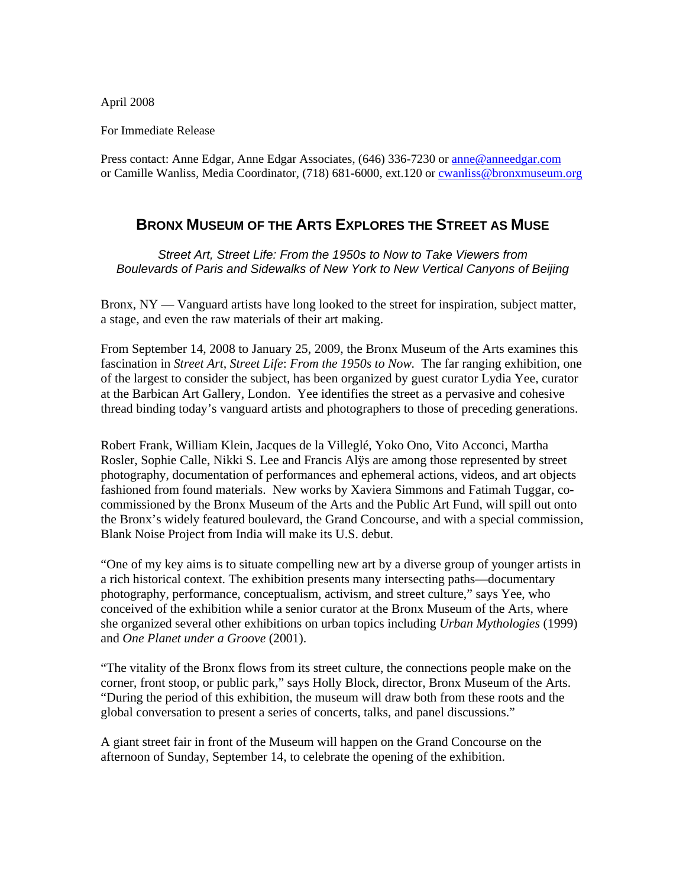April 2008

For Immediate Release

Press contact: Anne Edgar, Anne Edgar Associates, (646) 336-7230 or [anne@anneedgar.com](mailto:anne@anneedgar.com) or Camille Wanliss, Media Coordinator, (718) 681-6000, ext.120 or [cwanliss@bronxmuseum.org](mailto:cwanliss@bronxmuseum.org)

# **BRONX MUSEUM OF THE ARTS EXPLORES THE STREET AS MUSE**

*Street Art, Street Life: From the 1950s to Now to Take Viewers from Boulevards of Paris and Sidewalks of New York to New Vertical Canyons of Beijing* 

Bronx,  $NY - Vanguard$  artists have long looked to the street for inspiration, subject matter, a stage, and even the raw materials of their art making.

From September 14, 2008 to January 25, 2009, the Bronx Museum of the Arts examines this fascination in *Street Art, Street Life*: *From the 1950s to Now.* The far ranging exhibition, one of the largest to consider the subject, has been organized by guest curator Lydia Yee, curator at the Barbican Art Gallery, London. Yee identifies the street as a pervasive and cohesive thread binding today's vanguard artists and photographers to those of preceding generations.

Robert Frank, William Klein, Jacques de la Villeglé, Yoko Ono, Vito Acconci, Martha Rosler, Sophie Calle, Nikki S. Lee and Francis Alÿs are among those represented by street photography, documentation of performances and ephemeral actions, videos, and art objects fashioned from found materials. New works by Xaviera Simmons and Fatimah Tuggar, cocommissioned by the Bronx Museum of the Arts and the Public Art Fund, will spill out onto the Bronx's widely featured boulevard, the Grand Concourse, and with a special commission, Blank Noise Project from India will make its U.S. debut.

"One of my key aims is to situate compelling new art by a diverse group of younger artists in a rich historical context. The exhibition presents many intersecting paths—documentary photography, performance, conceptualism, activism, and street culture," says Yee, who conceived of the exhibition while a senior curator at the Bronx Museum of the Arts, where she organized several other exhibitions on urban topics including *Urban Mythologies* (1999) and *One Planet under a Groove* (2001).

"The vitality of the Bronx flows from its street culture, the connections people make on the corner, front stoop, or public park," says Holly Block, director, Bronx Museum of the Arts. "During the period of this exhibition, the museum will draw both from these roots and the global conversation to present a series of concerts, talks, and panel discussions."

A giant street fair in front of the Museum will happen on the Grand Concourse on the afternoon of Sunday, September 14, to celebrate the opening of the exhibition.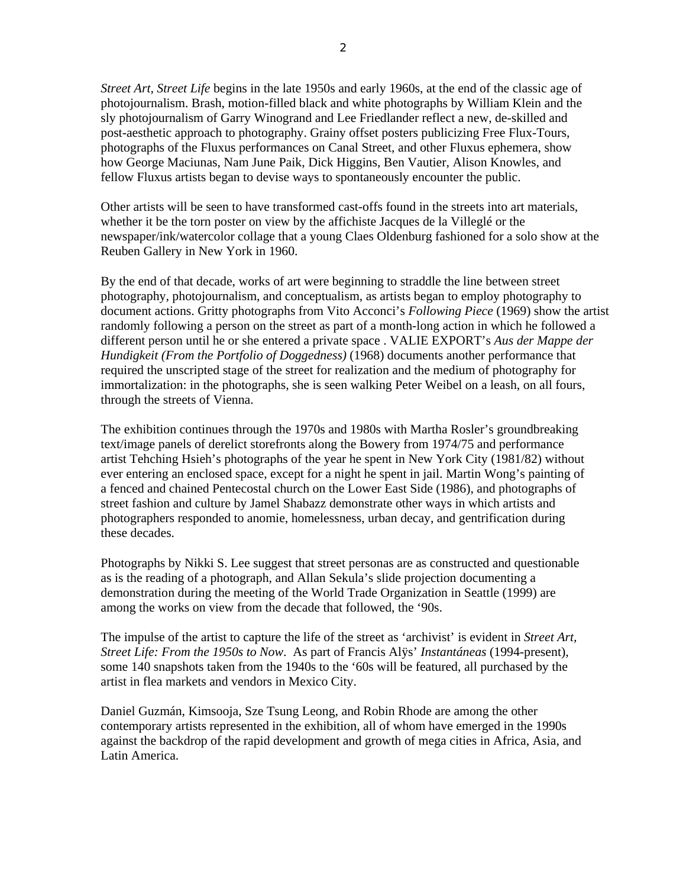*Street Art, Street Life* begins in the late 1950s and early 1960s, at the end of the classic age of photojournalism. Brash, motion-filled black and white photographs by William Klein and the sly photojournalism of Garry Winogrand and Lee Friedlander reflect a new, de-skilled and post-aesthetic approach to photography. Grainy offset posters publicizing Free Flux-Tours, photographs of the Fluxus performances on Canal Street, and other Fluxus ephemera, show how George Maciunas, Nam June Paik, Dick Higgins, Ben Vautier, Alison Knowles, and fellow Fluxus artists began to devise ways to spontaneously encounter the public.

Other artists will be seen to have transformed cast-offs found in the streets into art materials, whether it be the torn poster on view by the affichiste Jacques de la Villeglé or the newspaper/ink/watercolor collage that a young Claes Oldenburg fashioned for a solo show at the Reuben Gallery in New York in 1960.

By the end of that decade, works of art were beginning to straddle the line between street photography, photojournalism, and conceptualism, as artists began to employ photography to document actions. Gritty photographs from Vito Acconci's *Following Piece* (1969) show the artist randomly following a person on the street as part of a month-long action in which he followed a different person until he or she entered a private space . VALIE EXPORT's *Aus der Mappe der Hundigkeit (From the Portfolio of Doggedness)* (1968) documents another performance that required the unscripted stage of the street for realization and the medium of photography for immortalization: in the photographs, she is seen walking Peter Weibel on a leash, on all fours, through the streets of Vienna.

The exhibition continues through the 1970s and 1980s with Martha Rosler's groundbreaking text/image panels of derelict storefronts along the Bowery from 1974/75 and performance artist Tehching Hsieh's photographs of the year he spent in New York City (1981/82) without ever entering an enclosed space, except for a night he spent in jail. Martin Wong's painting of a fenced and chained Pentecostal church on the Lower East Side (1986), and photographs of street fashion and culture by Jamel Shabazz demonstrate other ways in which artists and photographers responded to anomie, homelessness, urban decay, and gentrification during these decades.

Photographs by Nikki S. Lee suggest that street personas are as constructed and questionable as is the reading of a photograph, and Allan Sekula's slide projection documenting a demonstration during the meeting of the World Trade Organization in Seattle (1999) are among the works on view from the decade that followed, the '90s.

The impulse of the artist to capture the life of the street as 'archivist' is evident in *Street Art, Street Life: From the 1950s to Now*. As part of Francis Alÿs' *Instantáneas* (1994-present), some 140 snapshots taken from the 1940s to the '60s will be featured, all purchased by the artist in flea markets and vendors in Mexico City.

Daniel Guzmán, Kimsooja, Sze Tsung Leong, and Robin Rhode are among the other contemporary artists represented in the exhibition, all of whom have emerged in the 1990s against the backdrop of the rapid development and growth of mega cities in Africa, Asia, and Latin America.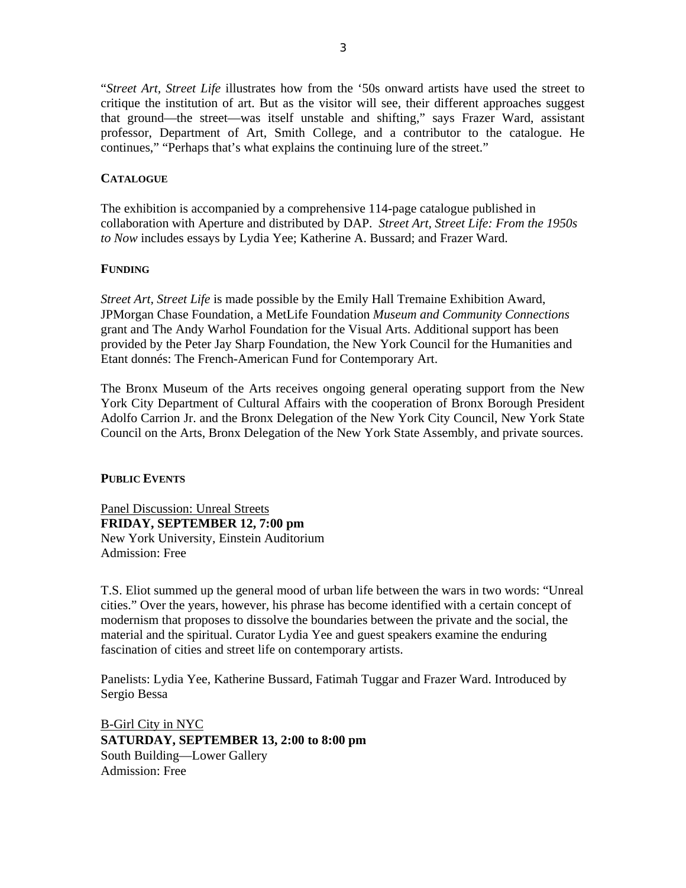"*Street Art, Street Life* illustrates how from the '50s onward artists have used the street to critique the institution of art. But as the visitor will see, their different approaches suggest that ground—the street—was itself unstable and shifting," says Frazer Ward, assistant professor, Department of Art, Smith College, and a contributor to the catalogue. He continues," "Perhaps that's what explains the continuing lure of the street."

## **CATALOGUE**

The exhibition is accompanied by a comprehensive 114-page catalogue published in collaboration with Aperture and distributed by DAP. *Street Art, Street Life: From the 1950s to Now* includes essays by Lydia Yee; Katherine A. Bussard; and Frazer Ward.

## **FUNDING**

*Street Art, Street Life* is made possible by the Emily Hall Tremaine Exhibition Award, JPMorgan Chase Foundation, a MetLife Foundation *Museum and Community Connections* grant and The Andy Warhol Foundation for the Visual Arts. Additional support has been provided by the Peter Jay Sharp Foundation, the New York Council for the Humanities and Etant donnés: The French-American Fund for Contemporary Art.

The Bronx Museum of the Arts receives ongoing general operating support from the New York City Department of Cultural Affairs with the cooperation of Bronx Borough President Adolfo Carrion Jr. and the Bronx Delegation of the New York City Council, New York State Council on the Arts, Bronx Delegation of the New York State Assembly, and private sources.

## **PUBLIC EVENTS**

Panel Discussion: Unreal Streets **FRIDAY, SEPTEMBER 12, 7:00 pm**  New York University, Einstein Auditorium Admission: Free

T.S. Eliot summed up the general mood of urban life between the wars in two words: "Unreal cities." Over the years, however, his phrase has become identified with a certain concept of modernism that proposes to dissolve the boundaries between the private and the social, the material and the spiritual. Curator Lydia Yee and guest speakers examine the enduring fascination of cities and street life on contemporary artists.

Panelists: Lydia Yee, Katherine Bussard, Fatimah Tuggar and Frazer Ward. Introduced by Sergio Bessa

B-Girl City in NYC **SATURDAY, SEPTEMBER 13, 2:00 to 8:00 pm**  South Building—Lower Gallery Admission: Free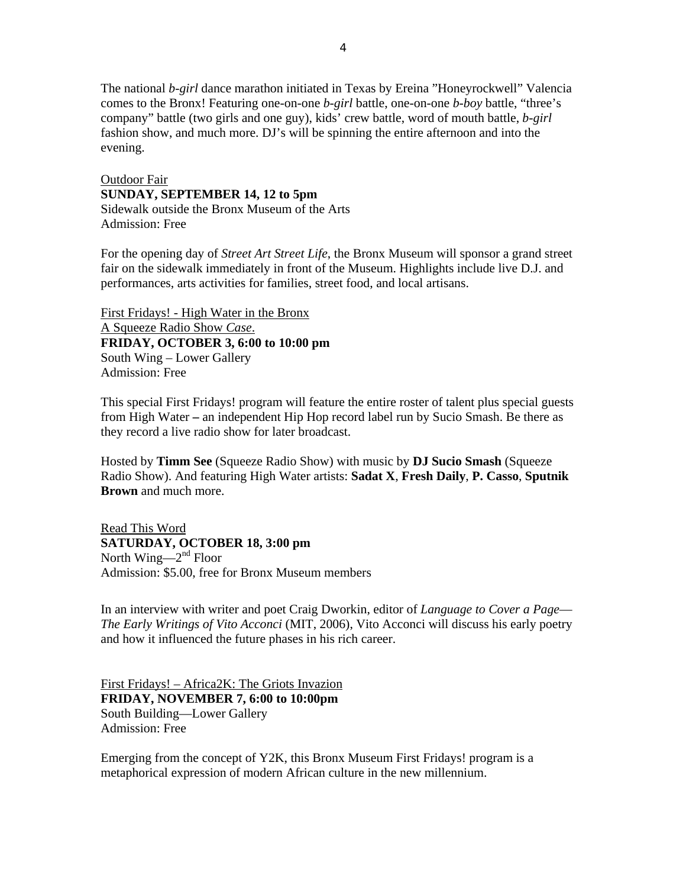The national *b-girl* dance marathon initiated in Texas by Ereina "Honeyrockwell" Valencia comes to the Bronx! Featuring one-on-one *b-girl* battle, one-on-one *b-boy* battle, "three's company" battle (two girls and one guy), kids' crew battle, word of mouth battle, *b-girl* fashion show, and much more. DJ's will be spinning the entire afternoon and into the evening.

Outdoor Fair **SUNDAY, SEPTEMBER 14, 12 to 5pm**  Sidewalk outside the Bronx Museum of the Arts Admission: Free

For the opening day of *Street Art Street Life*, the Bronx Museum will sponsor a grand street fair on the sidewalk immediately in front of the Museum. Highlights include live D.J. and performances, arts activities for families, street food, and local artisans.

First Fridays! - High Water in the Bronx A Squeeze Radio Show *Case*. **FRIDAY, OCTOBER 3, 6:00 to 10:00 pm**  South Wing – Lower Gallery Admission: Free

This special First Fridays! program will feature the entire roster of talent plus special guests from High Water **–** an independent Hip Hop record label run by Sucio Smash. Be there as they record a live radio show for later broadcast.

Hosted by **Timm See** (Squeeze Radio Show) with music by **DJ Sucio Smash** (Squeeze Radio Show). And featuring High Water artists: **Sadat X**, **Fresh Daily**, **P. Casso**, **Sputnik Brown** and much more.

Read This Word **SATURDAY, OCTOBER 18, 3:00 pm** North Wing— $2<sup>nd</sup>$  Floor Admission: \$5.00, free for Bronx Museum members

In an interview with writer and poet Craig Dworkin, editor of *Language to Cover a Page*— *The Early Writings of Vito Acconci* (MIT, 2006), Vito Acconci will discuss his early poetry and how it influenced the future phases in his rich career.

First Fridays! – Africa2K: The Griots Invazion **FRIDAY, NOVEMBER 7, 6:00 to 10:00pm** South Building—Lower Gallery Admission: Free

Emerging from the concept of Y2K, this Bronx Museum First Fridays! program is a metaphorical expression of modern African culture in the new millennium.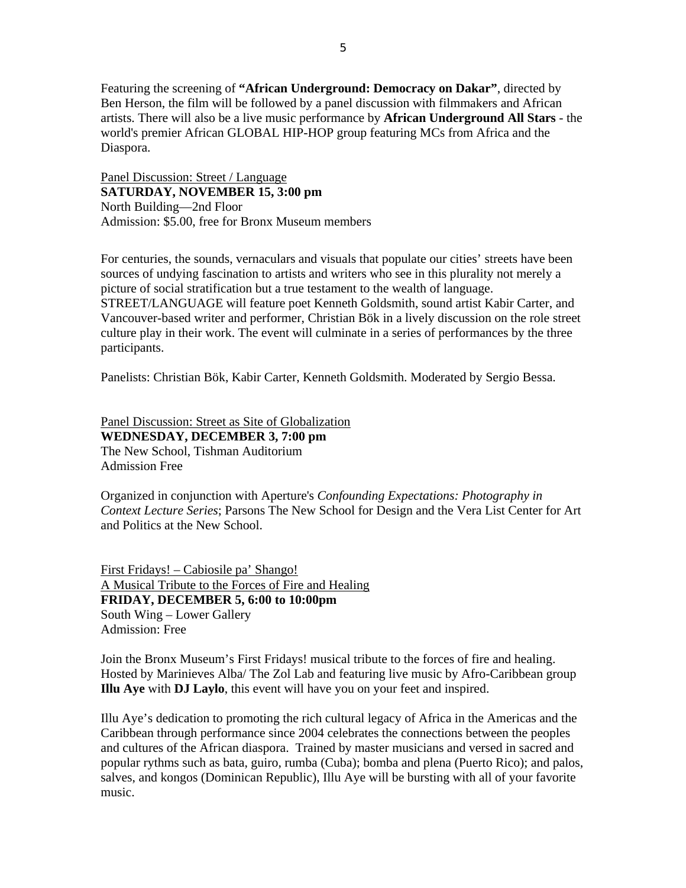Featuring the screening of **"African Underground: Democracy on Dakar"**, directed by Ben Herson, the film will be followed by a panel discussion with filmmakers and African artists. There will also be a live music performance by **African Underground All Stars** - the world's premier African GLOBAL HIP-HOP group featuring MCs from Africa and the Diaspora.

Panel Discussion: Street / Language **SATURDAY, NOVEMBER 15, 3:00 pm** North Building—2nd Floor Admission: \$5.00, free for Bronx Museum members

For centuries, the sounds, vernaculars and visuals that populate our cities' streets have been sources of undying fascination to artists and writers who see in this plurality not merely a picture of social stratification but a true testament to the wealth of language. STREET/LANGUAGE will feature poet Kenneth Goldsmith, sound artist Kabir Carter, and Vancouver-based writer and performer, Christian Bök in a lively discussion on the role street culture play in their work. The event will culminate in a series of performances by the three participants.

Panelists: Christian Bök, Kabir Carter, Kenneth Goldsmith. Moderated by Sergio Bessa.

Panel Discussion: Street as Site of Globalization **WEDNESDAY, DECEMBER 3, 7:00 pm**  The New School, Tishman Auditorium Admission Free

Organized in conjunction with Aperture's *Confounding Expectations: Photography in Context Lecture Series*; Parsons The New School for Design and the Vera List Center for Art and Politics at the New School.

First Fridays! – Cabiosile pa' Shango! A Musical Tribute to the Forces of Fire and Healing **FRIDAY, DECEMBER 5, 6:00 to 10:00pm**  South Wing – Lower Gallery Admission: Free

Join the Bronx Museum's First Fridays! musical tribute to the forces of fire and healing. Hosted by Marinieves Alba/ The Zol Lab and featuring live music by Afro-Caribbean group **Illu Aye** with **DJ Laylo**, this event will have you on your feet and inspired.

Illu Aye's dedication to promoting the rich cultural legacy of Africa in the Americas and the Caribbean through performance since 2004 celebrates the connections between the peoples and cultures of the African diaspora. Trained by master musicians and versed in sacred and popular rythms such as bata, guiro, rumba (Cuba); bomba and plena (Puerto Rico); and palos, salves, and kongos (Dominican Republic), Illu Aye will be bursting with all of your favorite music.